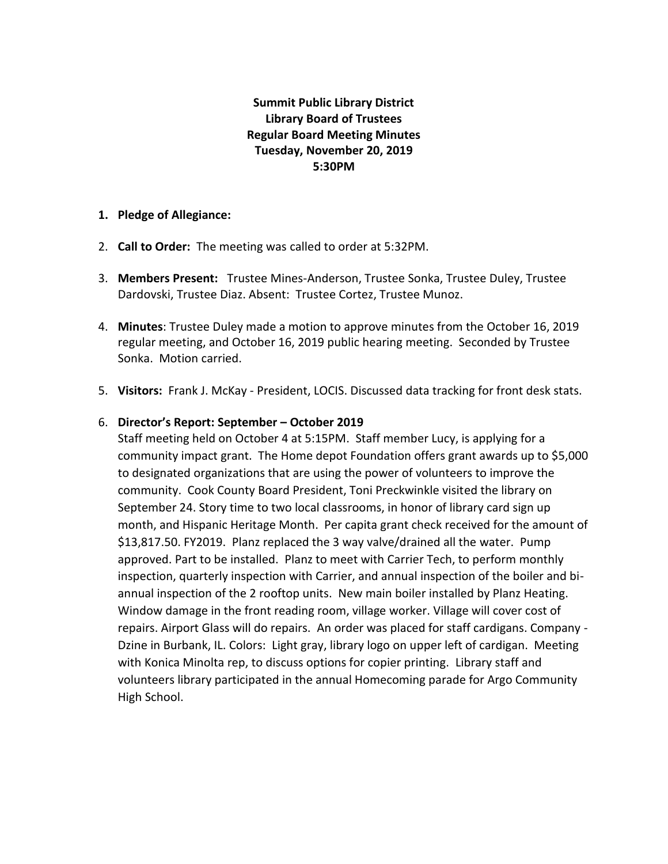# **Summit Public Library District Library Board of Trustees Regular Board Meeting Minutes Tuesday, November 20, 2019 5:30PM**

#### **1. Pledge of Allegiance:**

- 2. **Call to Order:** The meeting was called to order at 5:32PM.
- 3. **Members Present:** Trustee Mines-Anderson, Trustee Sonka, Trustee Duley, Trustee Dardovski, Trustee Diaz. Absent: Trustee Cortez, Trustee Munoz.
- 4. **Minutes**: Trustee Duley made a motion to approve minutes from the October 16, 2019 regular meeting, and October 16, 2019 public hearing meeting. Seconded by Trustee Sonka. Motion carried.
- 5. **Visitors:** Frank J. McKay President, LOCIS. Discussed data tracking for front desk stats.

#### 6. **Director's Report: September – October 2019**

Staff meeting held on October 4 at 5:15PM. Staff member Lucy, is applying for a community impact grant. The Home depot Foundation offers grant awards up to \$5,000 to designated organizations that are using the power of volunteers to improve the community. Cook County Board President, Toni Preckwinkle visited the library on September 24. Story time to two local classrooms, in honor of library card sign up month, and Hispanic Heritage Month. Per capita grant check received for the amount of \$13,817.50. FY2019. Planz replaced the 3 way valve/drained all the water. Pump approved. Part to be installed. Planz to meet with Carrier Tech, to perform monthly inspection, quarterly inspection with Carrier, and annual inspection of the boiler and biannual inspection of the 2 rooftop units. New main boiler installed by Planz Heating. Window damage in the front reading room, village worker. Village will cover cost of repairs. Airport Glass will do repairs. An order was placed for staff cardigans. Company - Dzine in Burbank, IL. Colors: Light gray, library logo on upper left of cardigan. Meeting with Konica Minolta rep, to discuss options for copier printing. Library staff and volunteers library participated in the annual Homecoming parade for Argo Community High School.